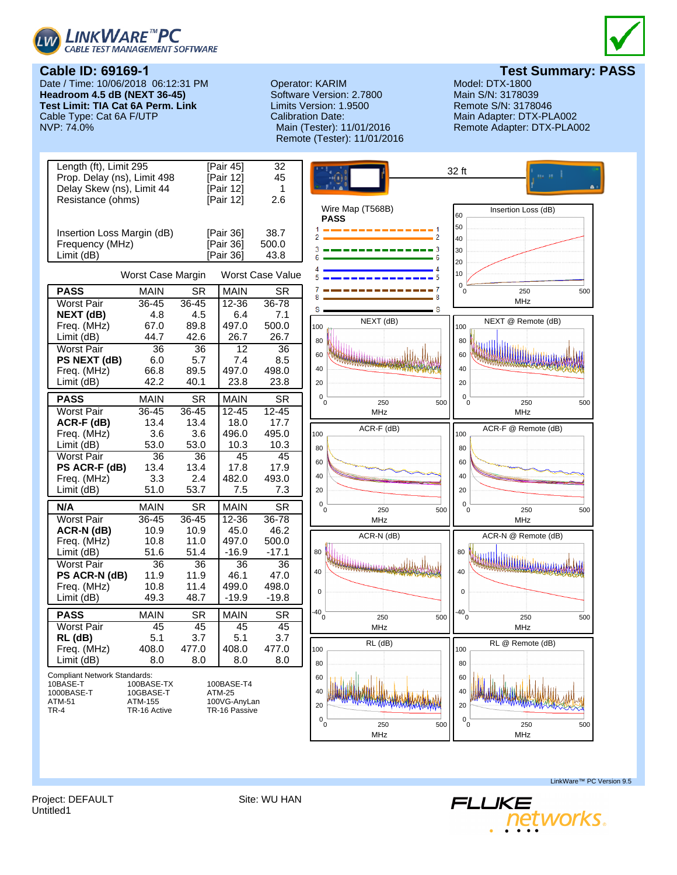



Date / Time: 10/06/2018 06:12:31 PM **Headroom 4.5 dB (NEXT 36-45) Test Limit: TIA Cat 6A Perm. Link** Cable Type: Cat 6A F/UTP<br>NVP: 74.0%

# Operator: KARIM Model: DTX-1800<br>
Software Version: 2.7800 Main S/N: 3178039 Software Version: 2.7800 Limits Version: 1.9500 Remote S/N: 3178046 Calibration Date: Main Adapter: DTX-PLA002 Remote (Tester): 11/01/2016



**Test Summary: PASS**<br>Model: DTX-1800

Remote Adapter: DTX-PLA002



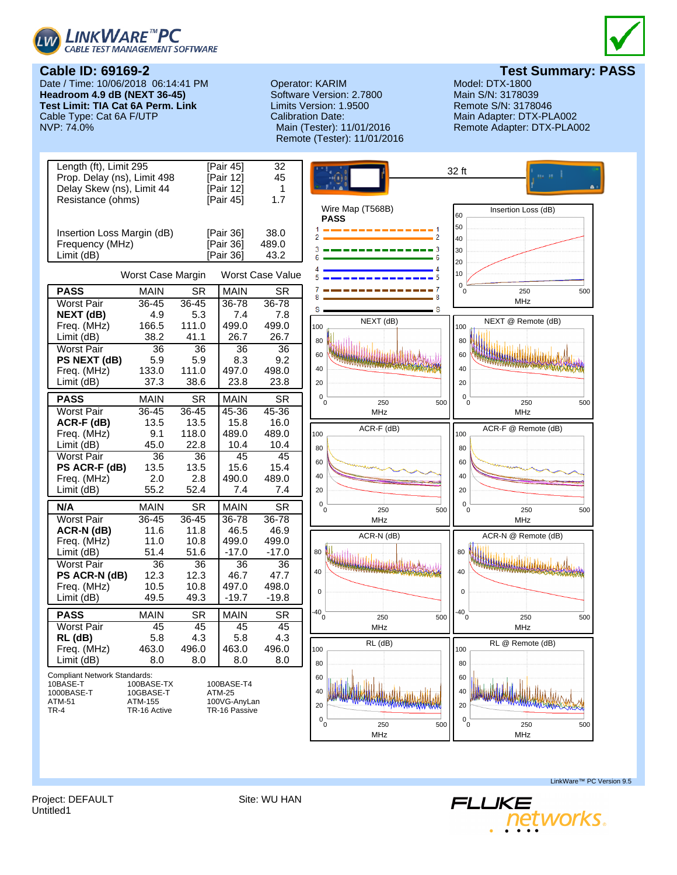



Date / Time: 10/06/2018 06:14:41 PM **Headroom 4.9 dB (NEXT 36-45) Test Limit: TIA Cat 6A Perm. Link** Cable Type: Cat 6A F/UTP<br>NVP: 74.0%

# Operator: KARIM Model: DTX-1800<br>
Software Version: 2.7800 Main S/N: 3178039 Software Version: 2.7800 Limits Version: 1.9500 Remote S/N: 3178046 Calibration Date: Main Adapter: DTX-PLA002 Remote (Tester): 11/01/2016



**Test Summary: PASS**<br>Model: DTX-1800

Remote Adapter: DTX-PLA002



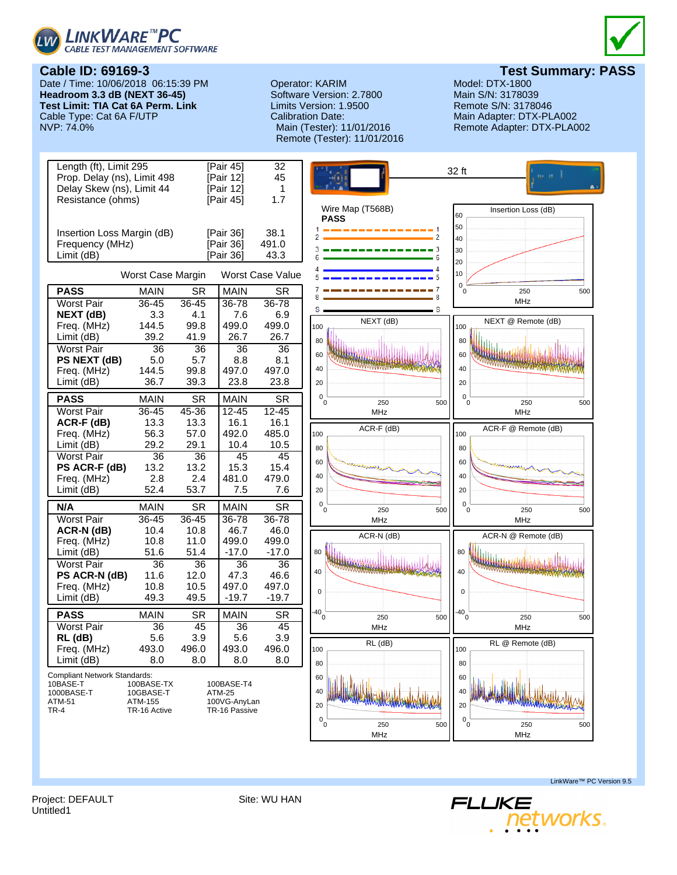





**Test Summary: PASS**<br>Model: DTX-1800

**Cable ID: 69169-3** Date / Time: 10/06/2018 06:15:39 PM **Headroom 3.3 dB (NEXT 36-45) Test Limit: TIA Cat 6A Perm. Link** Cable Type: Cat 6A F/UTP<br>NVP: 74.0%

# Operator: KARIM Model: DTX-1800<br>
Software Version: 2.7800 Main S/N: 3178039 Software Version: 2.7800 Limits Version: 1.9500 Remote S/N: 3178046 Calibration Date: Main Adapter: DTX-PLA002 Remote (Tester): 11/01/2016

Remote Adapter: DTX-PLA002



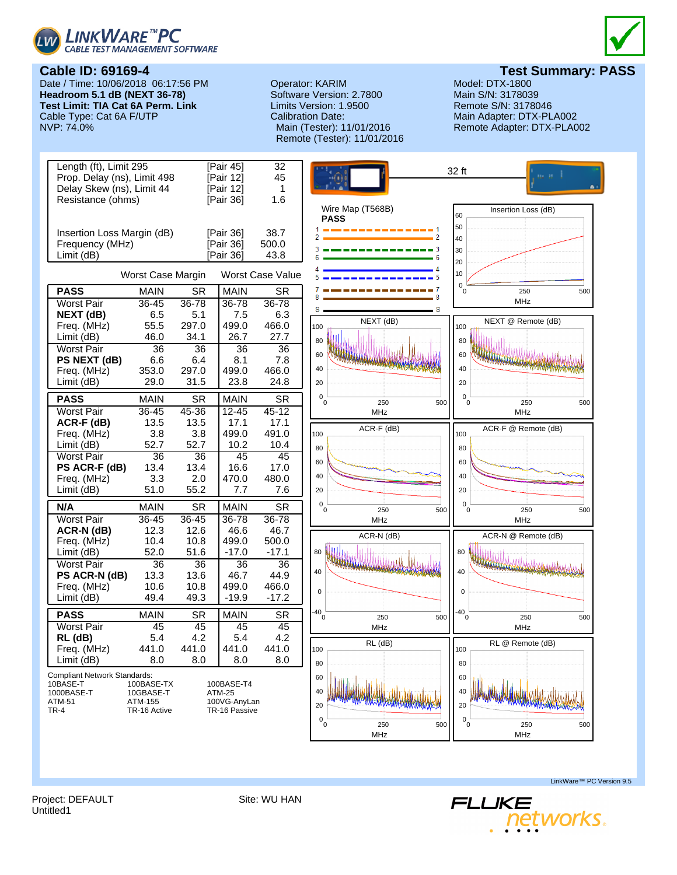



Date / Time: 10/06/2018 06:17:56 PM **Headroom 5.1 dB (NEXT 36-78) Test Limit: TIA Cat 6A Perm. Link** Cable Type: Cat 6A F/UTP<br>NVP: 74.0%

# Operator: KARIM Model: DTX-1800<br>
Software Version: 2.7800 Main S/N: 3178039 Software Version: 2.7800 Limits Version: 1.9500 Remote S/N: 3178046 Calibration Date: Main Adapter: DTX-PLA002 Remote (Tester): 11/01/2016



**Test Summary: PASS**<br>Model: DTX-1800

Remote Adapter: DTX-PLA002



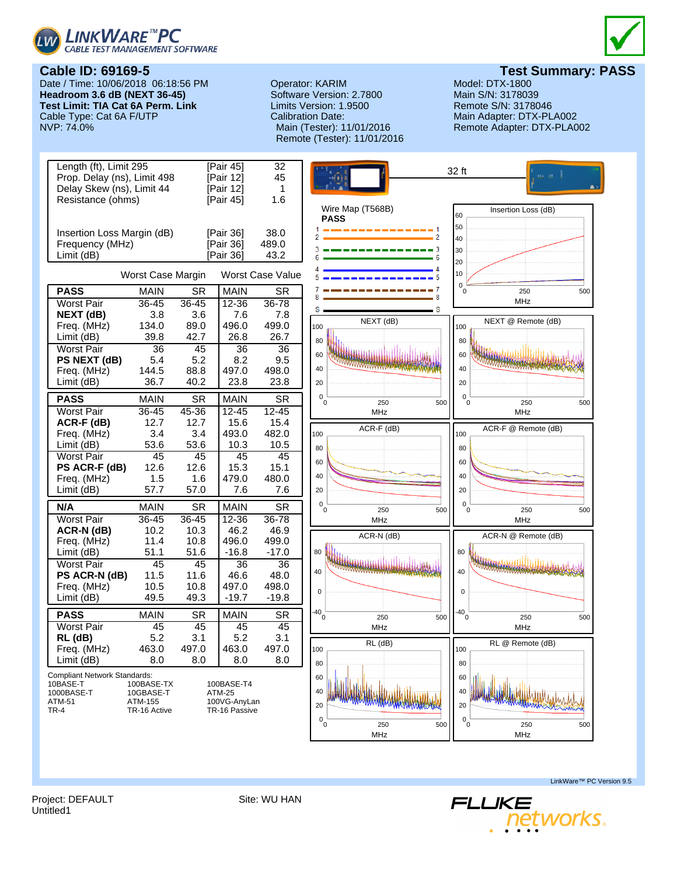



Date / Time: 10/06/2018 06:18:56 PM **Headroom 3.6 dB (NEXT 36-45) Test Limit: TIA Cat 6A Perm. Link** Cable Type: Cat 6A F/UTP<br>NVP: 74.0%

# Operator: KARIM Model: DTX-1800<br>
Software Version: 2.7800 Main S/N: 3178039 Software Version: 2.7800 Limits Version: 1.9500 Remote S/N: 3178046 Calibration Date: Main Adapter: DTX-PLA002 Remote (Tester): 11/01/2016



**Test Summary: PASS**<br>Model: DTX-1800

Remote Adapter: DTX-PLA002